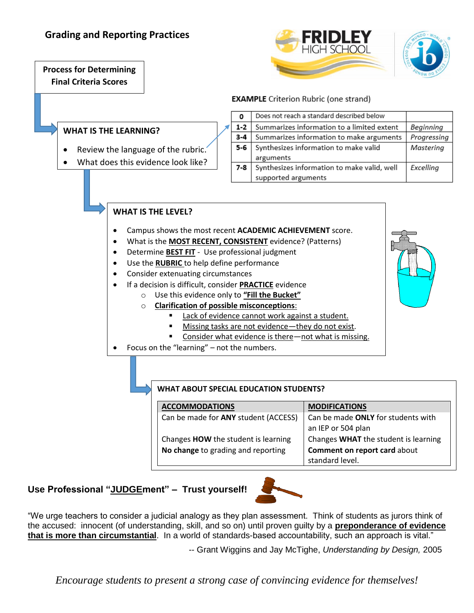# **Grading and Reporting Practices**

**Process for Determining** 

**Final Criteria Scores**



#### **EXAMPLE** Criterion Rubric (one strand)

### **WHAT IS THE LEARNING?**

- Review the language of the rubric.
- What does this evidence look like?

| 0       | Does not reach a standard described below   |             |
|---------|---------------------------------------------|-------------|
| $1 - 2$ | Summarizes information to a limited extent  | Beginning   |
| $3 - 4$ | Summarizes information to make arguments    | Progressing |
| 5-6     | Synthesizes information to make valid       | Masterina   |
|         | arguments                                   |             |
| $7 - 8$ | Synthesizes information to make valid, well | Excelling   |
|         | supported arguments                         |             |

### **WHAT IS THE LEVEL?**

- Campus shows the most recent **ACADEMIC ACHIEVEMENT** score.
- What is the **MOST RECENT, CONSISTENT** evidence? (Patterns)
- Determine **BEST FIT** Use professional judgment
- Use the **RUBRIC** to help define performance
- Consider extenuating circumstances
- If a decision is difficult, consider **PRACTICE** evidence
	- o Use this evidence only to **"Fill the Bucket"**
	- o **Clarification of possible misconceptions**:
		- Lack of evidence cannot work against a student.
		- Missing tasks are not evidence—they do not exist.
		- Consider what evidence is there—not what is missing.
- Focus on the "learning" not the numbers.

#### **WHAT ABOUT SPECIAL EDUCATION STUDENTS?**

#### ACCOMMODATIONS MODIFICATIONS

**No change** to grading and reporting **Comment on report card** about

Can be made for **ANY** student (ACCESS)  $\int$  Can be made **ONLY** for students with an IEP or 504 plan Changes **HOW** the student is learning  $\vert$  Changes **WHAT** the student is learning standard level.

## **Use Professional "JUDGEment" – Trust yourself!**



"We urge teachers to consider a judicial analogy as they plan assessment. Think of students as jurors think of the accused: innocent (of understanding, skill, and so on) until proven guilty by a **preponderance of evidence that is more than circumstantial**. In a world of standards-based accountability, such an approach is vital."

-- Grant Wiggins and Jay McTighe, *Understanding by Design,* 2005

*Encourage students to present a strong case of convincing evidence for themselves!*